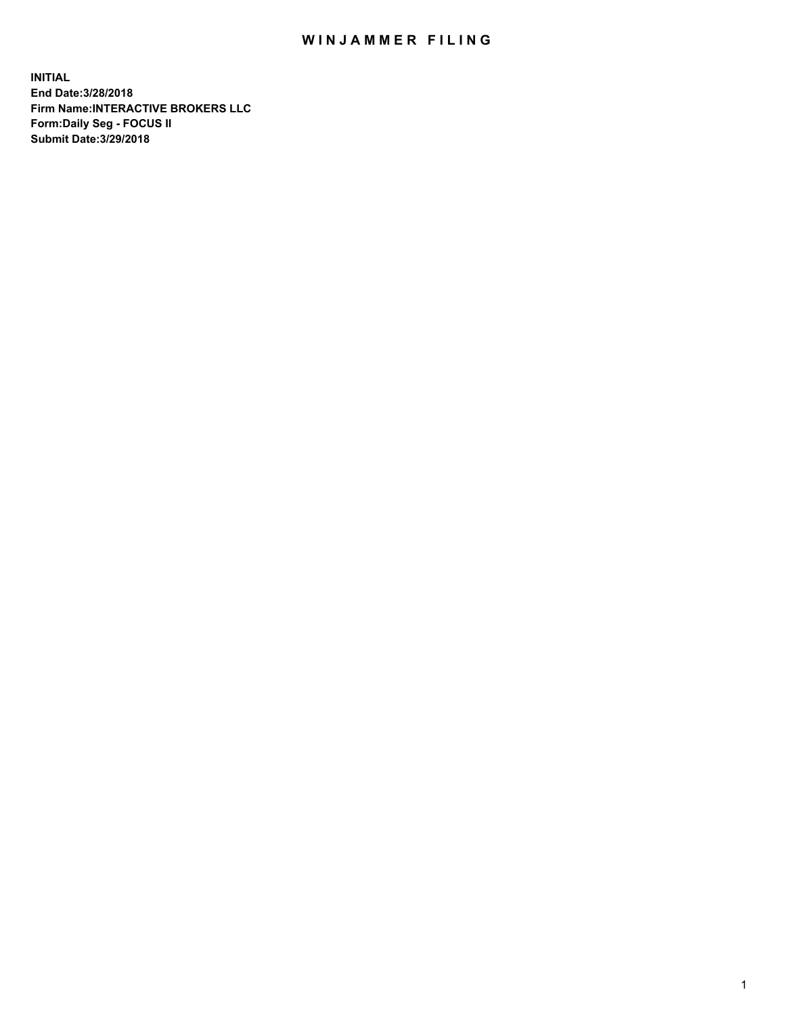## WIN JAMMER FILING

**INITIAL End Date:3/28/2018 Firm Name:INTERACTIVE BROKERS LLC Form:Daily Seg - FOCUS II Submit Date:3/29/2018**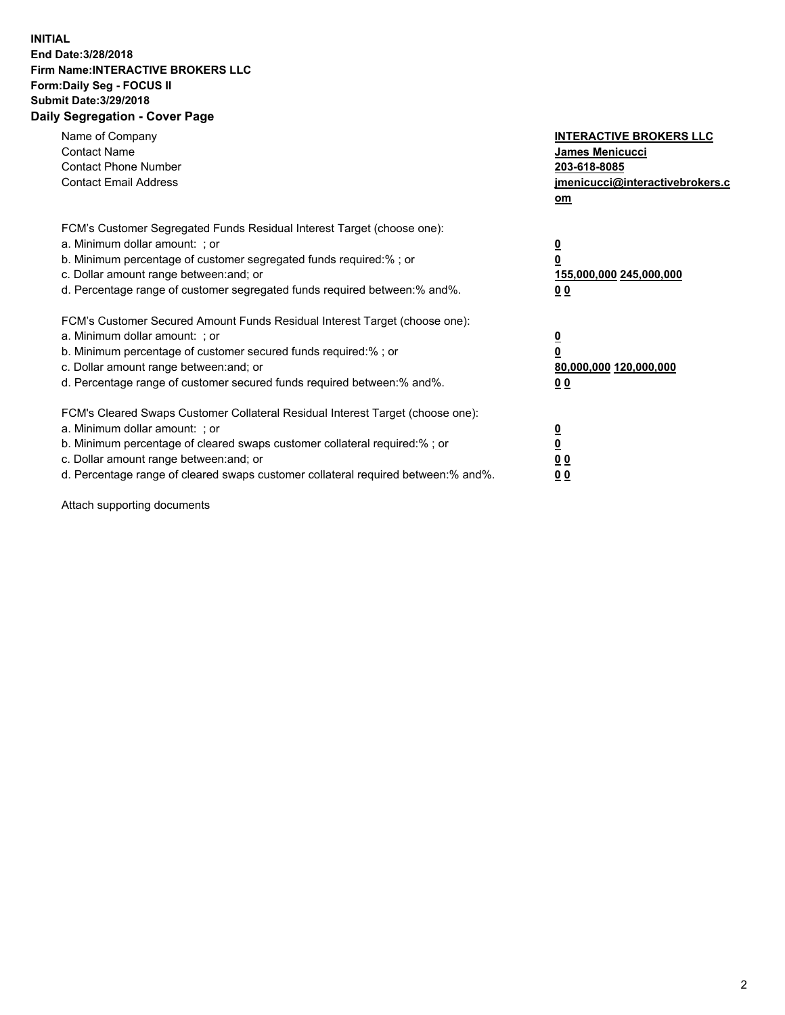## **INITIAL End Date:3/28/2018 Firm Name:INTERACTIVE BROKERS LLC Form:Daily Seg - FOCUS II Submit Date:3/29/2018 Daily Segregation - Cover Page**

| Name of Company<br><b>Contact Name</b><br><b>Contact Phone Number</b><br><b>Contact Email Address</b>                                                                                                                                                                                                                          | <b>INTERACTIVE BROKERS LLC</b><br>James Menicucci<br>203-618-8085<br>jmenicucci@interactivebrokers.c<br>om |
|--------------------------------------------------------------------------------------------------------------------------------------------------------------------------------------------------------------------------------------------------------------------------------------------------------------------------------|------------------------------------------------------------------------------------------------------------|
| FCM's Customer Segregated Funds Residual Interest Target (choose one):<br>a. Minimum dollar amount: ; or<br>b. Minimum percentage of customer segregated funds required:%; or<br>c. Dollar amount range between: and; or<br>d. Percentage range of customer segregated funds required between:% and%.                          | $\overline{\mathbf{0}}$<br>0<br>155,000,000 245,000,000<br>0 <sub>0</sub>                                  |
| FCM's Customer Secured Amount Funds Residual Interest Target (choose one):<br>a. Minimum dollar amount: ; or<br>b. Minimum percentage of customer secured funds required:%; or<br>c. Dollar amount range between: and; or<br>d. Percentage range of customer secured funds required between:% and%.                            | $\overline{\mathbf{0}}$<br>$\overline{\mathbf{0}}$<br>80,000,000 120,000,000<br>00                         |
| FCM's Cleared Swaps Customer Collateral Residual Interest Target (choose one):<br>a. Minimum dollar amount: ; or<br>b. Minimum percentage of cleared swaps customer collateral required:% ; or<br>c. Dollar amount range between: and; or<br>d. Percentage range of cleared swaps customer collateral required between:% and%. | $\overline{\mathbf{0}}$<br>$\overline{\mathbf{0}}$<br>0 <sub>0</sub><br><u>00</u>                          |

Attach supporting documents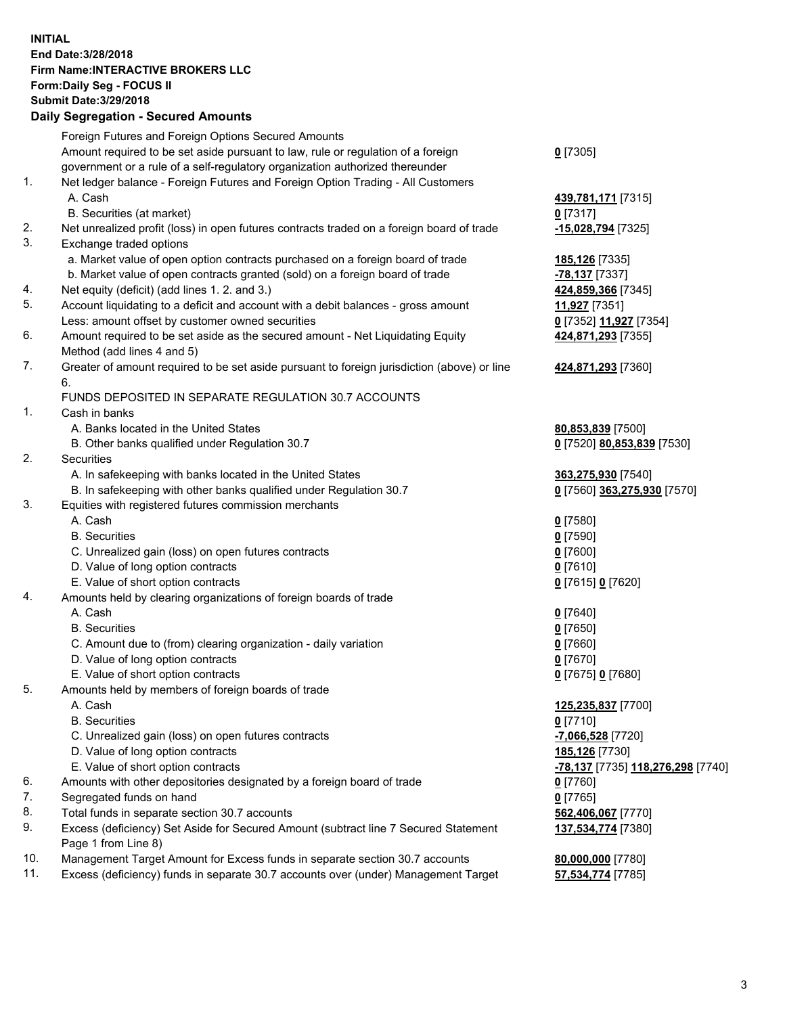## **INITIAL End Date:3/28/2018 Firm Name:INTERACTIVE BROKERS LLC Form:Daily Seg - FOCUS II Submit Date:3/29/2018 Daily Segregation - Secured Amounts**

|                | Daily Segregation - Secured Amounts                                                                        |                                   |
|----------------|------------------------------------------------------------------------------------------------------------|-----------------------------------|
|                | Foreign Futures and Foreign Options Secured Amounts                                                        |                                   |
|                | Amount required to be set aside pursuant to law, rule or regulation of a foreign                           | $0$ [7305]                        |
|                | government or a rule of a self-regulatory organization authorized thereunder                               |                                   |
| $\mathbf{1}$ . | Net ledger balance - Foreign Futures and Foreign Option Trading - All Customers                            |                                   |
|                | A. Cash                                                                                                    | 439,781,171 [7315]                |
|                | B. Securities (at market)                                                                                  | $0$ [7317]                        |
| 2.             | Net unrealized profit (loss) in open futures contracts traded on a foreign board of trade                  | -15,028,794 [7325]                |
| 3.             | Exchange traded options                                                                                    |                                   |
|                | a. Market value of open option contracts purchased on a foreign board of trade                             | 185,126 [7335]                    |
|                | b. Market value of open contracts granted (sold) on a foreign board of trade                               | -78,137 [7337]                    |
| 4.             | Net equity (deficit) (add lines 1.2. and 3.)                                                               | 424,859,366 [7345]                |
| 5.             | Account liquidating to a deficit and account with a debit balances - gross amount                          | 11,927 [7351]                     |
|                | Less: amount offset by customer owned securities                                                           | 0 [7352] 11,927 [7354]            |
| 6.             | Amount required to be set aside as the secured amount - Net Liquidating Equity                             | 424,871,293 [7355]                |
|                | Method (add lines 4 and 5)                                                                                 |                                   |
| 7.             | Greater of amount required to be set aside pursuant to foreign jurisdiction (above) or line                | 424,871,293 [7360]                |
|                | 6.                                                                                                         |                                   |
|                | FUNDS DEPOSITED IN SEPARATE REGULATION 30.7 ACCOUNTS                                                       |                                   |
| 1.             | Cash in banks                                                                                              |                                   |
|                | A. Banks located in the United States                                                                      | 80,853,839 [7500]                 |
|                | B. Other banks qualified under Regulation 30.7                                                             | 0 [7520] 80,853,839 [7530]        |
| 2.             | Securities                                                                                                 |                                   |
|                | A. In safekeeping with banks located in the United States                                                  | 363,275,930 [7540]                |
|                | B. In safekeeping with other banks qualified under Regulation 30.7                                         | 0 [7560] 363,275,930 [7570]       |
| 3.             | Equities with registered futures commission merchants                                                      |                                   |
|                | A. Cash                                                                                                    | $0$ [7580]                        |
|                | <b>B.</b> Securities                                                                                       | $0$ [7590]                        |
|                | C. Unrealized gain (loss) on open futures contracts                                                        | $0$ [7600]                        |
|                | D. Value of long option contracts                                                                          | $0$ [7610]                        |
|                | E. Value of short option contracts                                                                         | 0 [7615] 0 [7620]                 |
| 4.             | Amounts held by clearing organizations of foreign boards of trade                                          |                                   |
|                | A. Cash                                                                                                    | $0$ [7640]                        |
|                | <b>B.</b> Securities                                                                                       | $0$ [7650]                        |
|                | C. Amount due to (from) clearing organization - daily variation                                            | $0$ [7660]                        |
|                | D. Value of long option contracts                                                                          | $0$ [7670]                        |
|                | E. Value of short option contracts                                                                         | 0 [7675] 0 [7680]                 |
| 5.             | Amounts held by members of foreign boards of trade                                                         |                                   |
|                | A. Cash                                                                                                    | 125,235,837 [7700]                |
|                | <b>B.</b> Securities                                                                                       | $0$ [7710]                        |
|                | C. Unrealized gain (loss) on open futures contracts                                                        | -7,066,528 [7720]                 |
|                | D. Value of long option contracts                                                                          | 185,126 [7730]                    |
|                | E. Value of short option contracts                                                                         | -78,137 [7735] 118,276,298 [7740] |
| 6.             | Amounts with other depositories designated by a foreign board of trade                                     | $0$ [7760]                        |
| 7.             | Segregated funds on hand                                                                                   | $0$ [7765]                        |
| 8.             | Total funds in separate section 30.7 accounts                                                              | 562,406,067 [7770]                |
| 9.             | Excess (deficiency) Set Aside for Secured Amount (subtract line 7 Secured Statement<br>Page 1 from Line 8) | 137,534,774 [7380]                |
| 10.            | Management Target Amount for Excess funds in separate section 30.7 accounts                                | 80,000,000 [7780]                 |
| 11.            | Excess (deficiency) funds in separate 30.7 accounts over (under) Management Target                         | 57,534,774 [7785]                 |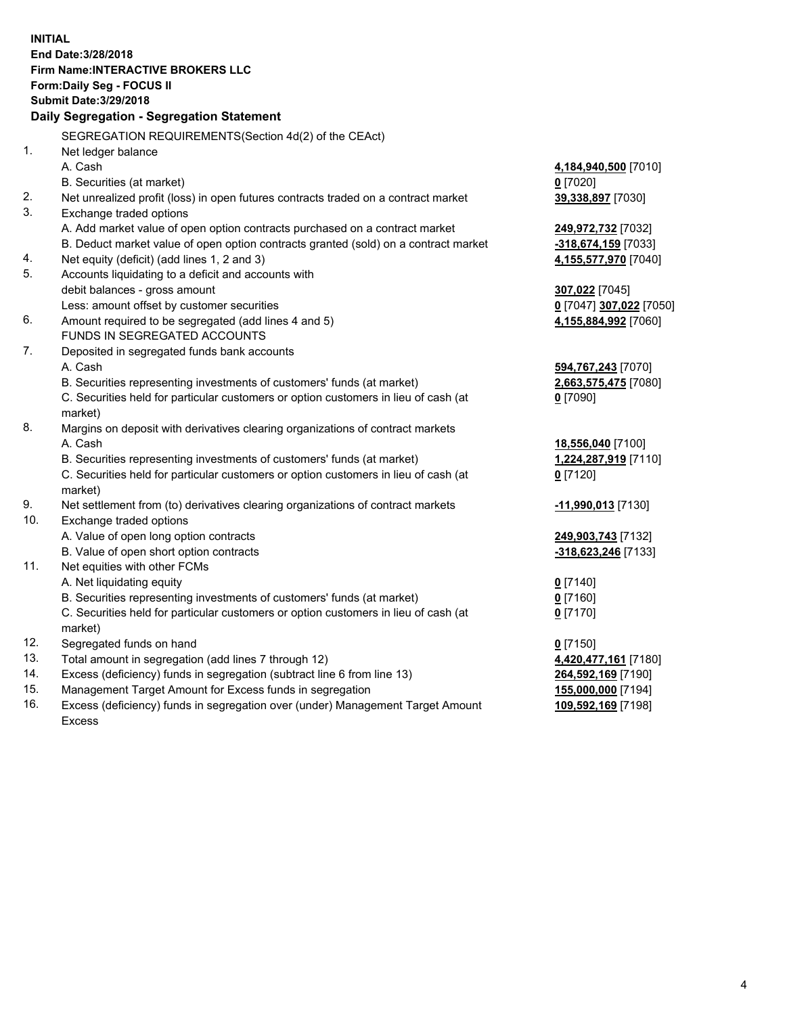**INITIAL End Date:3/28/2018 Firm Name:INTERACTIVE BROKERS LLC Form:Daily Seg - FOCUS II Submit Date:3/29/2018 Daily Segregation - Segregation Statement** SEGREGATION REQUIREMENTS(Section 4d(2) of the CEAct) 1. Net ledger balance A. Cash **4,184,940,500** [7010] B. Securities (at market) **0** [7020] 2. Net unrealized profit (loss) in open futures contracts traded on a contract market **39,338,897** [7030] 3. Exchange traded options A. Add market value of open option contracts purchased on a contract market **249,972,732** [7032] B. Deduct market value of open option contracts granted (sold) on a contract market **-318,674,159** [7033] 4. Net equity (deficit) (add lines 1, 2 and 3) **4,155,577,970** [7040] 5. Accounts liquidating to a deficit and accounts with debit balances - gross amount **307,022** [7045] Less: amount offset by customer securities **0** [7047] **307,022** [7050] 6. Amount required to be segregated (add lines 4 and 5) **4,155,884,992** [7060] FUNDS IN SEGREGATED ACCOUNTS 7. Deposited in segregated funds bank accounts A. Cash **594,767,243** [7070] B. Securities representing investments of customers' funds (at market) **2,663,575,475** [7080] C. Securities held for particular customers or option customers in lieu of cash (at market) **0** [7090] 8. Margins on deposit with derivatives clearing organizations of contract markets A. Cash **18,556,040** [7100] B. Securities representing investments of customers' funds (at market) **1,224,287,919** [7110] C. Securities held for particular customers or option customers in lieu of cash (at market) **0** [7120] 9. Net settlement from (to) derivatives clearing organizations of contract markets **-11,990,013** [7130] 10. Exchange traded options A. Value of open long option contracts **249,903,743** [7132] B. Value of open short option contracts **-318,623,246** [7133] 11. Net equities with other FCMs A. Net liquidating equity **0** [7140] B. Securities representing investments of customers' funds (at market) **0** [7160] C. Securities held for particular customers or option customers in lieu of cash (at market) **0** [7170] 12. Segregated funds on hand **0** [7150] 13. Total amount in segregation (add lines 7 through 12) **4,420,477,161** [7180] 14. Excess (deficiency) funds in segregation (subtract line 6 from line 13) **264,592,169** [7190] 15. Management Target Amount for Excess funds in segregation **155,000,000** [7194]

16. Excess (deficiency) funds in segregation over (under) Management Target Amount Excess

**109,592,169** [7198]